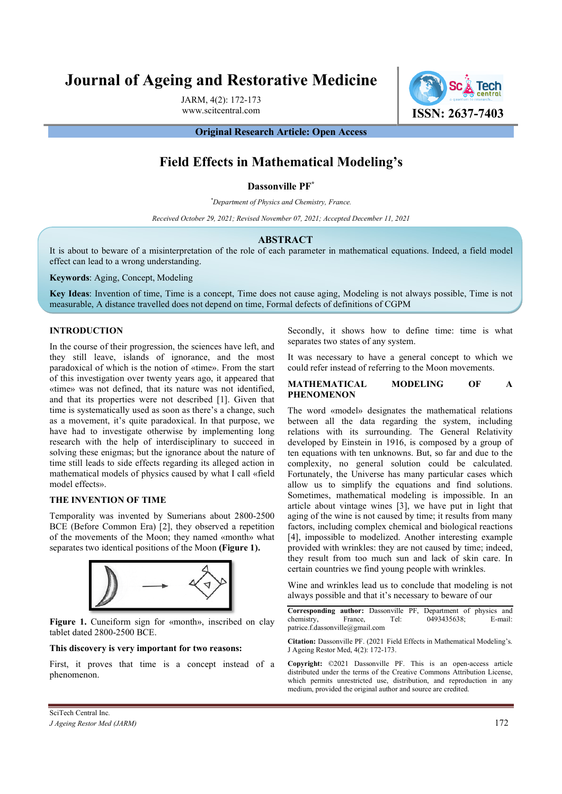# Journal of Ageing and Restorative Medicine

JARM, 4(2): 172-173

www.scitcentral.com **ISSN: 2637-7403** 

Original Research Article: Open Access

# Field Effects in Mathematical Modeling's

Dassonville PF\*

\*Department of Physics and Chemistry, France.

Received October 29, 2021; Revised November 07, 2021; Accepted December 11, 2021

#### ABSTRACT

It is about to beware of a misinterpretation of the role of each parameter in mathematical equations. Indeed, a field model effect can lead to a wrong understanding.

Keywords: Aging, Concept, Modeling

Key Ideas: Invention of time, Time is a concept, Time does not cause aging, Modeling is not always possible, Time is not measurable, A distance travelled does not depend on time, Formal defects of definitions of CGPM

### INTRODUCTION

In the course of their progression, the sciences have left, and they still leave, islands of ignorance, and the most paradoxical of which is the notion of «time». From the start of this investigation over twenty years ago, it appeared that «time» was not defined, that its nature was not identified, and that its properties were not described [1]. Given that time is systematically used as soon as there's a change, such as a movement, it's quite paradoxical. In that purpose, we have had to investigate otherwise by implementing long research with the help of interdisciplinary to succeed in solving these enigmas; but the ignorance about the nature of time still leads to side effects regarding its alleged action in mathematical models of physics caused by what I call «field model effects».

## THE INVENTION OF TIME

Temporality was invented by Sumerians about 2800-2500 BCE (Before Common Era) [2], they observed a repetition of the movements of the Moon; they named «month» what separates two identical positions of the Moon (Figure 1).



Figure 1. Cuneiform sign for «month», inscribed on clay tablet dated 2800-2500 BCE.

#### This discovery is very important for two reasons:

First, it proves that time is a concept instead of a phenomenon.

Secondly, it shows how to define time: time is what separates two states of any system.

It was necessary to have a general concept to which we could refer instead of referring to the Moon movements.

### MATHEMATICAL MODELING OF A PHENOMENON

The word «model» designates the mathematical relations between all the data regarding the system, including relations with its surrounding. The General Relativity developed by Einstein in 1916, is composed by a group of ten equations with ten unknowns. But, so far and due to the complexity, no general solution could be calculated. Fortunately, the Universe has many particular cases which allow us to simplify the equations and find solutions. Sometimes, mathematical modeling is impossible. In an article about vintage wines [3], we have put in light that aging of the wine is not caused by time; it results from many factors, including complex chemical and biological reactions [4], impossible to modelized. Another interesting example provided with wrinkles: they are not caused by time; indeed, they result from too much sun and lack of skin care. In certain countries we find young people with wrinkles.

Wine and wrinkles lead us to conclude that modeling is not always possible and that it's necessary to beware of our

Corresponding author: Dassonville PF, Department of physics and chemistry, France, Tel: 0493435638; E-mail: patrice.f.dassonville@gmail.com

Citation: Dassonville PF. (2021 Field Effects in Mathematical Modeling's. J Ageing Restor Med, 4(2): 172-173.

Copyright: ©2021 Dassonville PF. This is an open-access article distributed under the terms of the Creative Commons Attribution License, which permits unrestricted use, distribution, and reproduction in any medium, provided the original author and source are credited.